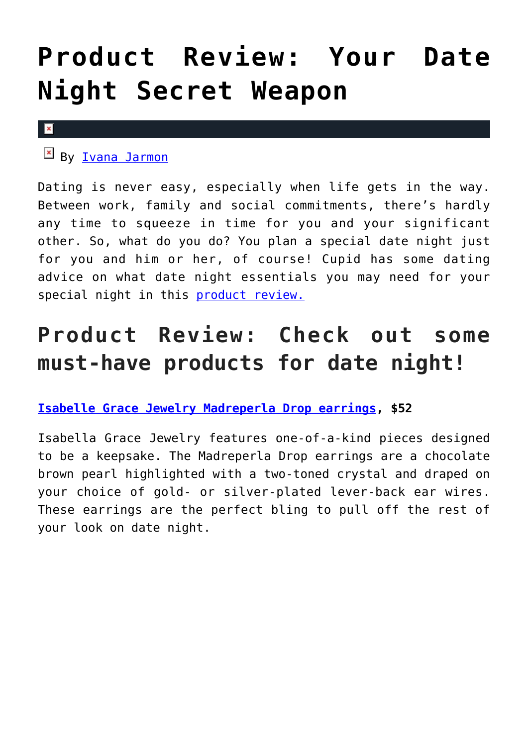# **[Product Review: Your Date](https://cupidspulse.com/127839/product-review-date-night-secret-weapon/) [Night Secret Weapon](https://cupidspulse.com/127839/product-review-date-night-secret-weapon/)**

#### $\mathbf x$

By **Ivana Jarmon** 

Dating is never easy, especially when life gets in the way. Between work, family and social commitments, there's hardly any time to squeeze in time for you and your significant other. So, what do you do? You plan a special date night just for you and him or her, of course! Cupid has some dating advice on what date night essentials you may need for your special night in this [product review.](http://cupidspulse.com/product-reviews/)

## **Product Review: Check out some must-have products for date night!**

#### **[Isabelle Grace Jewelry Madreperla Drop earrings](https://www.isabellegracejewelry.com/), \$52**

Isabella Grace Jewelry features one-of-a-kind pieces designed to be a keepsake. The Madreperla Drop earrings are a chocolate brown pearl highlighted with a two-toned crystal and draped on your choice of gold- or silver-plated lever-back ear wires. These earrings are the perfect bling to pull off the rest of your look on date night.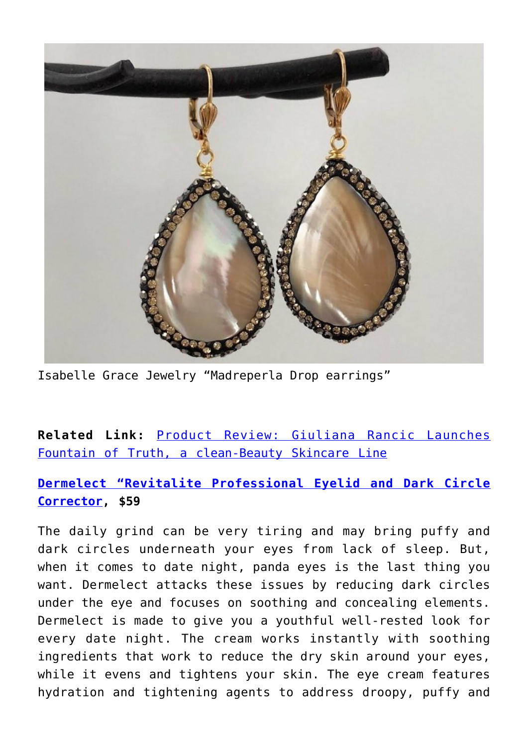

Isabelle Grace Jewelry "Madreperla Drop earrings"

**Related Link:** [Product Review: Giuliana Rancic Launches](http://cupidspulse.com/127238/product-review-giuliana-rancic-fountain-of-truth-clean-beauty-skincare-line/) [Fountain of Truth, a clean-Beauty Skincare Line](http://cupidspulse.com/127238/product-review-giuliana-rancic-fountain-of-truth-clean-beauty-skincare-line/)

**[Dermelect "Revitalite Professional Eyelid and Dark Circle](https://dermelect.com/revitalite-eyelid-dark-circle-corrector/) [Corrector,](https://dermelect.com/revitalite-eyelid-dark-circle-corrector/) \$59**

The daily grind can be very tiring and may bring puffy and dark circles underneath your eyes from lack of sleep. But, when it comes to date night, panda eyes is the last thing you want. Dermelect attacks these issues by reducing dark circles under the eye and focuses on soothing and concealing elements. Dermelect is made to give you a youthful well-rested look for every date night. The cream works instantly with soothing ingredients that work to reduce the dry skin around your eyes, while it evens and tightens your skin. The eye cream features hydration and tightening agents to address droopy, puffy and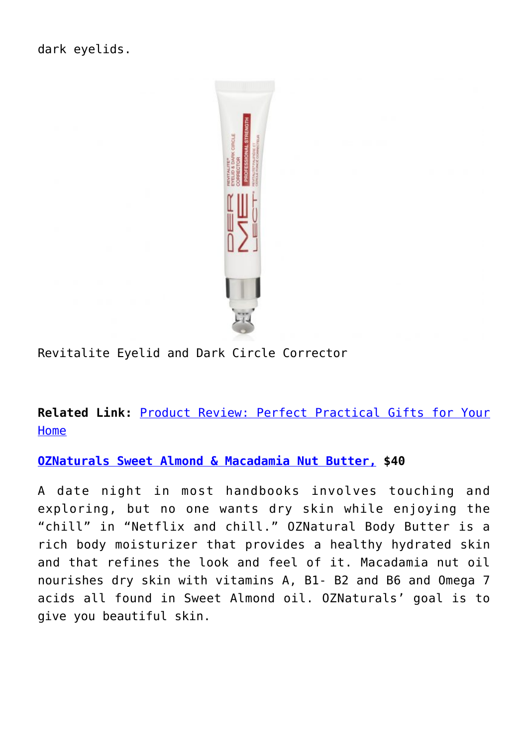

Revitalite Eyelid and Dark Circle Corrector

**Related Link:** [Product Review: Perfect Practical Gifts for Your](http://cupidspulse.com/127764/product-review-perfect-practical-gifts-for-home/) [Home](http://cupidspulse.com/127764/product-review-perfect-practical-gifts-for-home/)

**[OZNaturals Sweet Almond & Macadamia Nut Butter,](https://www.oznaturals.com/products/body-butter) \$40**

A date night in most handbooks involves touching and exploring, but no one wants dry skin while enjoying the "chill" in "Netflix and chill." OZNatural Body Butter is a rich body moisturizer that provides a healthy hydrated skin and that refines the look and feel of it. Macadamia nut oil nourishes dry skin with vitamins A, B1- B2 and B6 and Omega 7 acids all found in Sweet Almond oil. OZNaturals' goal is to give you beautiful skin.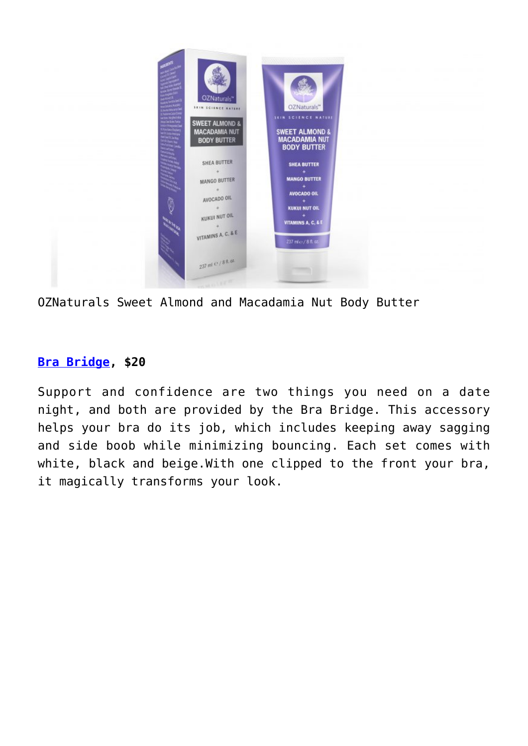

OZNaturals Sweet Almond and Macadamia Nut Body Butter

### **[Bra Bridge,](https://brabridge.com/) \$20**

Support and confidence are two things you need on a date night, and both are provided by the Bra Bridge. This accessory helps your bra do its job, which includes keeping away sagging and side boob while minimizing bouncing. Each set comes with white, black and beige.With one clipped to the front your bra, it magically transforms your look.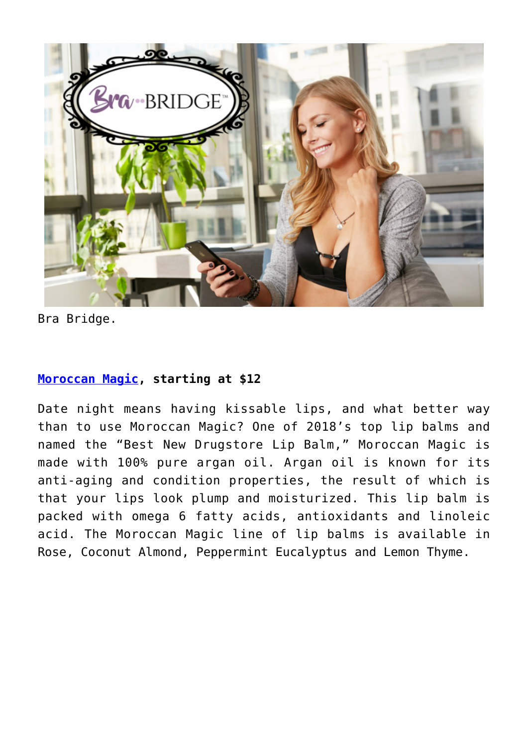

Bra Bridge.

#### **[Moroccan Magic](https://www.moroccanmagicbeauty.com/), starting at \$12**

Date night means having kissable lips, and what better way than to use Moroccan Magic? One of 2018's top lip balms and named the "Best New Drugstore Lip Balm," Moroccan Magic is made with 100% pure argan oil. Argan oil is known for its anti-aging and condition properties, the result of which is that your lips look plump and moisturized. This lip balm is packed with omega 6 fatty acids, antioxidants and linoleic acid. The Moroccan Magic line of lip balms is available in Rose, Coconut Almond, Peppermint Eucalyptus and Lemon Thyme.